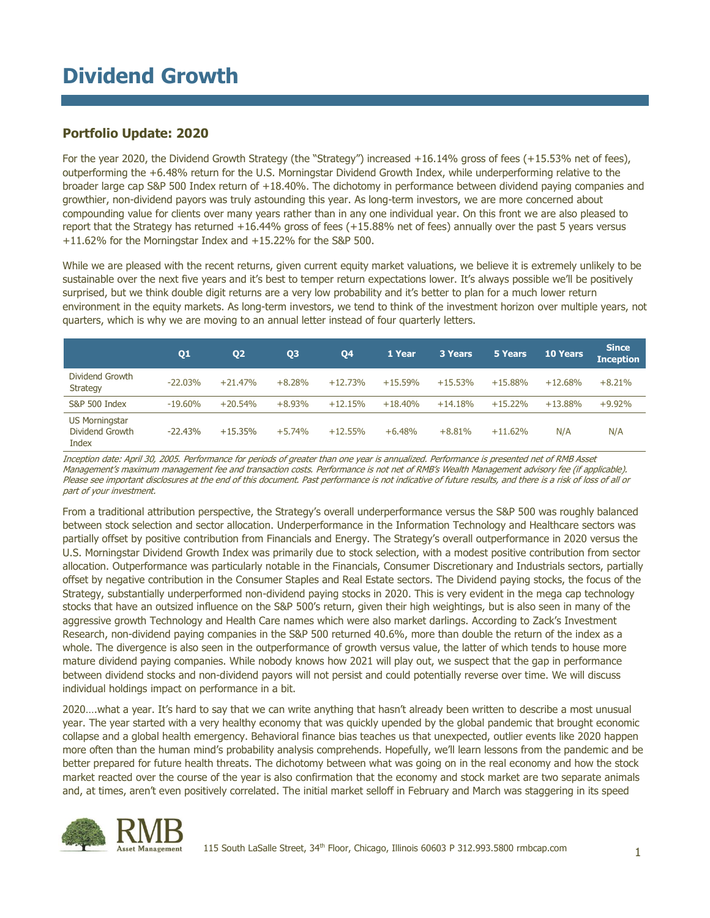## **Portfolio Update: 2020**

For the year 2020, the Dividend Growth Strategy (the "Strategy") increased +16.14% gross of fees (+15.53% net of fees), outperforming the +6.48% return for the U.S. Morningstar Dividend Growth Index, while underperforming relative to the broader large cap S&P 500 Index return of +18.40%. The dichotomy in performance between dividend paying companies and growthier, non-dividend payors was truly astounding this year. As long-term investors, we are more concerned about compounding value for clients over many years rather than in any one individual year. On this front we are also pleased to report that the Strategy has returned +16.44% gross of fees (+15.88% net of fees) annually over the past 5 years versus +11.62% for the Morningstar Index and +15.22% for the S&P 500.

While we are pleased with the recent returns, given current equity market valuations, we believe it is extremely unlikely to be sustainable over the next five years and it's best to temper return expectations lower. It's always possible we'll be positively surprised, but we think double digit returns are a very low probability and it's better to plan for a much lower return environment in the equity markets. As long-term investors, we tend to think of the investment horizon over multiple years, not quarters, which is why we are moving to an annual letter instead of four quarterly letters.

|                                                   | Q <sub>1</sub> | Q <sub>2</sub> | Q3       | Q4        | 1 Year    | 3 Years   | 5 Years    | <b>10 Years</b> | <b>Since</b><br><b>Inception</b> |
|---------------------------------------------------|----------------|----------------|----------|-----------|-----------|-----------|------------|-----------------|----------------------------------|
| Dividend Growth<br><b>Strategy</b>                | $-22.03%$      | $+21.47%$      | $+8.28%$ | $+12.73%$ | $+15.59%$ | $+15.53%$ | $+15.88%$  | $+12.68%$       | $+8.21%$                         |
| S&P 500 Index                                     | $-19.60\%$     | $+20.54%$      | $+8.93%$ | $+12.15%$ | $+18.40%$ | $+14.18%$ | $+15.22\%$ | $+13.88%$       | $+9.92%$                         |
| <b>US Morningstar</b><br>Dividend Growth<br>Index | $-22.43%$      | $+15.35%$      | $+5.74%$ | $+12.55%$ | $+6.48%$  | $+8.81%$  | $+11.62%$  | N/A             | N/A                              |

Inception date: April 30, 2005. Performance for periods of greater than one year is annualized. Performance is presented net of RMB Asset Management's maximum management fee and transaction costs. Performance is not net of RMB's Wealth Management advisory fee (if applicable). Please see important disclosures at the end of this document. Past performance is not indicative of future results, and there is a risk of loss of all or part of your investment.

From a traditional attribution perspective, the Strategy's overall underperformance versus the S&P 500 was roughly balanced between stock selection and sector allocation. Underperformance in the Information Technology and Healthcare sectors was partially offset by positive contribution from Financials and Energy. The Strategy's overall outperformance in 2020 versus the U.S. Morningstar Dividend Growth Index was primarily due to stock selection, with a modest positive contribution from sector allocation. Outperformance was particularly notable in the Financials, Consumer Discretionary and Industrials sectors, partially offset by negative contribution in the Consumer Staples and Real Estate sectors. The Dividend paying stocks, the focus of the Strategy, substantially underperformed non-dividend paying stocks in 2020. This is very evident in the mega cap technology stocks that have an outsized influence on the S&P 500's return, given their high weightings, but is also seen in many of the aggressive growth Technology and Health Care names which were also market darlings. According to Zack's Investment Research, non-dividend paying companies in the S&P 500 returned 40.6%, more than double the return of the index as a whole. The divergence is also seen in the outperformance of growth versus value, the latter of which tends to house more mature dividend paying companies. While nobody knows how 2021 will play out, we suspect that the gap in performance between dividend stocks and non-dividend payors will not persist and could potentially reverse over time. We will discuss individual holdings impact on performance in a bit.

2020….what a year. It's hard to say that we can write anything that hasn't already been written to describe a most unusual year. The year started with a very healthy economy that was quickly upended by the global pandemic that brought economic collapse and a global health emergency. Behavioral finance bias teaches us that unexpected, outlier events like 2020 happen more often than the human mind's probability analysis comprehends. Hopefully, we'll learn lessons from the pandemic and be better prepared for future health threats. The dichotomy between what was going on in the real economy and how the stock market reacted over the course of the year is also confirmation that the economy and stock market are two separate animals and, at times, aren't even positively correlated. The initial market selloff in February and March was staggering in its speed

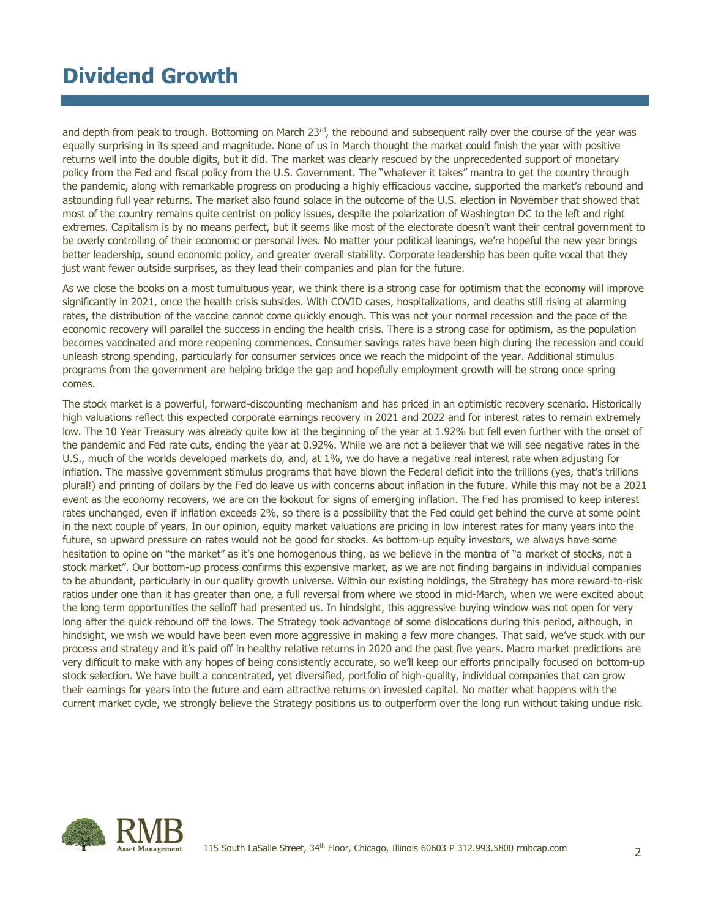and depth from peak to trough. Bottoming on March 23<sup>rd</sup>, the rebound and subsequent rally over the course of the year was equally surprising in its speed and magnitude. None of us in March thought the market could finish the year with positive returns well into the double digits, but it did. The market was clearly rescued by the unprecedented support of monetary policy from the Fed and fiscal policy from the U.S. Government. The "whatever it takes" mantra to get the country through the pandemic, along with remarkable progress on producing a highly efficacious vaccine, supported the market's rebound and astounding full year returns. The market also found solace in the outcome of the U.S. election in November that showed that most of the country remains quite centrist on policy issues, despite the polarization of Washington DC to the left and right extremes. Capitalism is by no means perfect, but it seems like most of the electorate doesn't want their central government to be overly controlling of their economic or personal lives. No matter your political leanings, we're hopeful the new year brings better leadership, sound economic policy, and greater overall stability. Corporate leadership has been quite vocal that they just want fewer outside surprises, as they lead their companies and plan for the future.

As we close the books on a most tumultuous year, we think there is a strong case for optimism that the economy will improve significantly in 2021, once the health crisis subsides. With COVID cases, hospitalizations, and deaths still rising at alarming rates, the distribution of the vaccine cannot come quickly enough. This was not your normal recession and the pace of the economic recovery will parallel the success in ending the health crisis. There is a strong case for optimism, as the population becomes vaccinated and more reopening commences. Consumer savings rates have been high during the recession and could unleash strong spending, particularly for consumer services once we reach the midpoint of the year. Additional stimulus programs from the government are helping bridge the gap and hopefully employment growth will be strong once spring comes.

The stock market is a powerful, forward-discounting mechanism and has priced in an optimistic recovery scenario. Historically high valuations reflect this expected corporate earnings recovery in 2021 and 2022 and for interest rates to remain extremely low. The 10 Year Treasury was already quite low at the beginning of the year at 1.92% but fell even further with the onset of the pandemic and Fed rate cuts, ending the year at 0.92%. While we are not a believer that we will see negative rates in the U.S., much of the worlds developed markets do, and, at 1%, we do have a negative real interest rate when adjusting for inflation. The massive government stimulus programs that have blown the Federal deficit into the trillions (yes, that's trillions plural!) and printing of dollars by the Fed do leave us with concerns about inflation in the future. While this may not be a 2021 event as the economy recovers, we are on the lookout for signs of emerging inflation. The Fed has promised to keep interest rates unchanged, even if inflation exceeds 2%, so there is a possibility that the Fed could get behind the curve at some point in the next couple of years. In our opinion, equity market valuations are pricing in low interest rates for many years into the future, so upward pressure on rates would not be good for stocks. As bottom-up equity investors, we always have some hesitation to opine on "the market" as it's one homogenous thing, as we believe in the mantra of "a market of stocks, not a stock market". Our bottom-up process confirms this expensive market, as we are not finding bargains in individual companies to be abundant, particularly in our quality growth universe. Within our existing holdings, the Strategy has more reward-to-risk ratios under one than it has greater than one, a full reversal from where we stood in mid-March, when we were excited about the long term opportunities the selloff had presented us. In hindsight, this aggressive buying window was not open for very long after the quick rebound off the lows. The Strategy took advantage of some dislocations during this period, although, in hindsight, we wish we would have been even more aggressive in making a few more changes. That said, we've stuck with our process and strategy and it's paid off in healthy relative returns in 2020 and the past five years. Macro market predictions are very difficult to make with any hopes of being consistently accurate, so we'll keep our efforts principally focused on bottom-up stock selection. We have built a concentrated, yet diversified, portfolio of high-quality, individual companies that can grow their earnings for years into the future and earn attractive returns on invested capital. No matter what happens with the current market cycle, we strongly believe the Strategy positions us to outperform over the long run without taking undue risk.

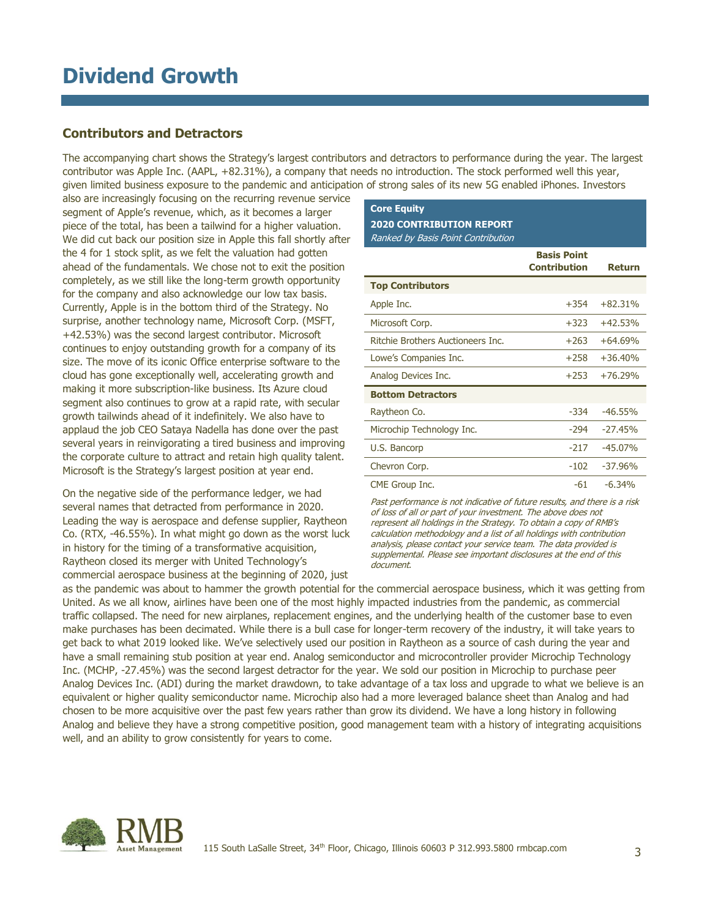### **Contributors and Detractors**

The accompanying chart shows the Strategy's largest contributors and detractors to performance during the year. The largest contributor was Apple Inc. (AAPL, +82.31%), a company that needs no introduction. The stock performed well this year, given limited business exposure to the pandemic and anticipation of strong sales of its new 5G enabled iPhones. Investors

also are increasingly focusing on the recurring revenue service segment of Apple's revenue, which, as it becomes a larger piece of the total, has been a tailwind for a higher valuation. We did cut back our position size in Apple this fall shortly after the 4 for 1 stock split, as we felt the valuation had gotten ahead of the fundamentals. We chose not to exit the position completely, as we still like the long-term growth opportunity for the company and also acknowledge our low tax basis. Currently, Apple is in the bottom third of the Strategy. No surprise, another technology name, Microsoft Corp. (MSFT, +42.53%) was the second largest contributor. Microsoft continues to enjoy outstanding growth for a company of its size. The move of its iconic Office enterprise software to the cloud has gone exceptionally well, accelerating growth and making it more subscription-like business. Its Azure cloud segment also continues to grow at a rapid rate, with secular growth tailwinds ahead of it indefinitely. We also have to applaud the job CEO Sataya Nadella has done over the past several years in reinvigorating a tired business and improving the corporate culture to attract and retain high quality talent. Microsoft is the Strategy's largest position at year end.

On the negative side of the performance ledger, we had several names that detracted from performance in 2020. Leading the way is aerospace and defense supplier, Raytheon Co. (RTX, -46.55%). In what might go down as the worst luck in history for the timing of a transformative acquisition, Raytheon closed its merger with United Technology's commercial aerospace business at the beginning of 2020, just

### **Core Equity 2020 CONTRIBUTION REPORT** Ranked by Basis Point Contribution

|                                   | <b>Basis Point</b><br><b>Contribution</b> | <b>Return</b> |
|-----------------------------------|-------------------------------------------|---------------|
| <b>Top Contributors</b>           |                                           |               |
| Apple Inc.                        | $+354$                                    | $+82.31%$     |
| Microsoft Corp.                   | $+323$                                    | $+42.53%$     |
| Ritchie Brothers Auctioneers Inc. | $+263$                                    | $+64.69%$     |
| Lowe's Companies Inc.             | $+258$                                    | $+36.40%$     |
| Analog Devices Inc.               | $+253$                                    | $+76.29%$     |
| <b>Bottom Detractors</b>          |                                           |               |
| Raytheon Co.                      | $-334$                                    | $-46.55%$     |
| Microchip Technology Inc.         | $-294$                                    | $-27.45%$     |
| U.S. Bancorp                      | $-217$                                    | $-45.07%$     |
| Chevron Corp.                     | $-102$                                    | $-37.96%$     |
| CME Group Inc.                    | -61                                       | $-6.34%$      |

Past performance is not indicative of future results, and there is a risk of loss of all or part of your investment. The above does not represent all holdings in the Strategy. To obtain a copy of RMB's calculation methodology and a list of all holdings with contribution analysis, please contact your service team. The data provided is supplemental. Please see important disclosures at the end of this document.

as the pandemic was about to hammer the growth potential for the commercial aerospace business, which it was getting from United. As we all know, airlines have been one of the most highly impacted industries from the pandemic, as commercial traffic collapsed. The need for new airplanes, replacement engines, and the underlying health of the customer base to even make purchases has been decimated. While there is a bull case for longer-term recovery of the industry, it will take years to get back to what 2019 looked like. We've selectively used our position in Raytheon as a source of cash during the year and have a small remaining stub position at year end. Analog semiconductor and microcontroller provider Microchip Technology Inc. (MCHP, -27.45%) was the second largest detractor for the year. We sold our position in Microchip to purchase peer Analog Devices Inc. (ADI) during the market drawdown, to take advantage of a tax loss and upgrade to what we believe is an equivalent or higher quality semiconductor name. Microchip also had a more leveraged balance sheet than Analog and had chosen to be more acquisitive over the past few years rather than grow its dividend. We have a long history in following Analog and believe they have a strong competitive position, good management team with a history of integrating acquisitions well, and an ability to grow consistently for years to come.

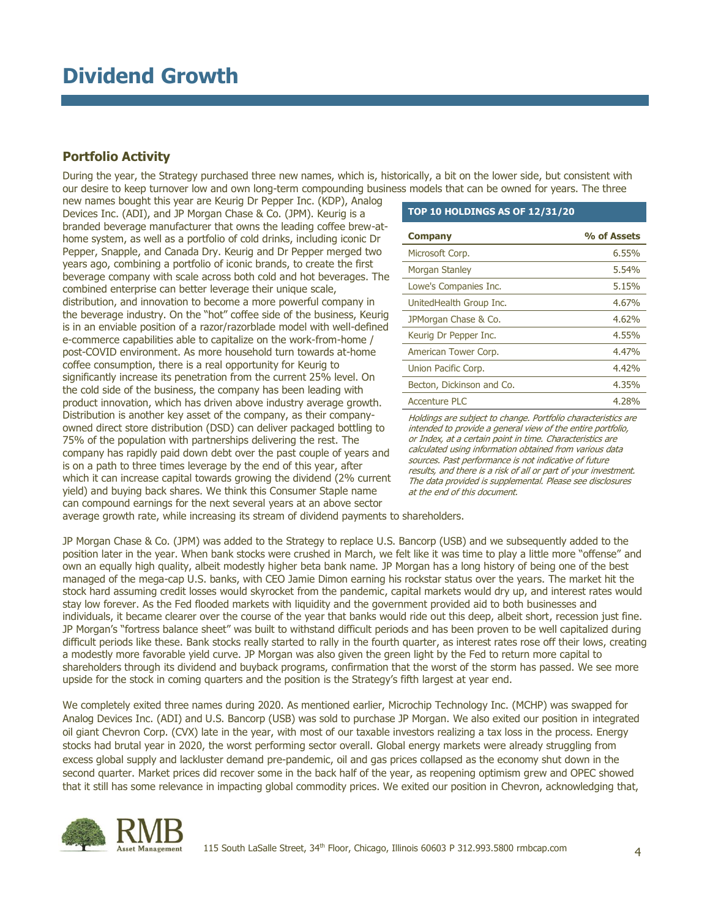## **Portfolio Activity**

During the year, the Strategy purchased three new names, which is, historically, a bit on the lower side, but consistent with our desire to keep turnover low and own long-term compounding business models that can be owned for years. The three

new names bought this year are Keurig Dr Pepper Inc. (KDP), Analog Devices Inc. (ADI), and JP Morgan Chase & Co. (JPM). Keurig is a branded beverage manufacturer that owns the leading coffee brew-athome system, as well as a portfolio of cold drinks, including iconic Dr Pepper, Snapple, and Canada Dry. Keurig and Dr Pepper merged two years ago, combining a portfolio of iconic brands, to create the first beverage company with scale across both cold and hot beverages. The combined enterprise can better leverage their unique scale, distribution, and innovation to become a more powerful company in the beverage industry. On the "hot" coffee side of the business, Keurig is in an enviable position of a razor/razorblade model with well-defined e-commerce capabilities able to capitalize on the work-from-home / post-COVID environment. As more household turn towards at-home coffee consumption, there is a real opportunity for Keurig to significantly increase its penetration from the current 25% level. On the cold side of the business, the company has been leading with product innovation, which has driven above industry average growth. Distribution is another key asset of the company, as their companyowned direct store distribution (DSD) can deliver packaged bottling to 75% of the population with partnerships delivering the rest. The company has rapidly paid down debt over the past couple of years and is on a path to three times leverage by the end of this year, after which it can increase capital towards growing the dividend (2% current yield) and buying back shares. We think this Consumer Staple name can compound earnings for the next several years at an above sector

#### **TOP 10 HOLDINGS AS OF 12/31/20**

| <b>Company</b>            | % of Assets |
|---------------------------|-------------|
| Microsoft Corp.           | 6.55%       |
| Morgan Stanley            | 5.54%       |
| Lowe's Companies Inc.     | 5.15%       |
| UnitedHealth Group Inc.   | 4.67%       |
| JPMorgan Chase & Co.      | 4.62%       |
| Keurig Dr Pepper Inc.     | 4,55%       |
| American Tower Corp.      | 4.47%       |
| Union Pacific Corp.       | 4.42%       |
| Becton, Dickinson and Co. | 4.35%       |
| <b>Accenture PLC</b>      | 4.28%       |

Holdings are subject to change. Portfolio characteristics are intended to provide a general view of the entire portfolio, or Index, at a certain point in time. Characteristics are calculated using information obtained from various data sources. Past performance is not indicative of future results, and there is a risk of all or part of your investment. The data provided is supplemental. Please see disclosures at the end of this document.

average growth rate, while increasing its stream of dividend payments to shareholders.

JP Morgan Chase & Co. (JPM) was added to the Strategy to replace U.S. Bancorp (USB) and we subsequently added to the position later in the year. When bank stocks were crushed in March, we felt like it was time to play a little more "offense" and own an equally high quality, albeit modestly higher beta bank name. JP Morgan has a long history of being one of the best managed of the mega-cap U.S. banks, with CEO Jamie Dimon earning his rockstar status over the years. The market hit the stock hard assuming credit losses would skyrocket from the pandemic, capital markets would dry up, and interest rates would stay low forever. As the Fed flooded markets with liquidity and the government provided aid to both businesses and individuals, it became clearer over the course of the year that banks would ride out this deep, albeit short, recession just fine. JP Morgan's "fortress balance sheet" was built to withstand difficult periods and has been proven to be well capitalized during difficult periods like these. Bank stocks really started to rally in the fourth quarter, as interest rates rose off their lows, creating a modestly more favorable yield curve. JP Morgan was also given the green light by the Fed to return more capital to shareholders through its dividend and buyback programs, confirmation that the worst of the storm has passed. We see more upside for the stock in coming quarters and the position is the Strategy's fifth largest at year end.

We completely exited three names during 2020. As mentioned earlier, Microchip Technology Inc. (MCHP) was swapped for Analog Devices Inc. (ADI) and U.S. Bancorp (USB) was sold to purchase JP Morgan. We also exited our position in integrated oil giant Chevron Corp. (CVX) late in the year, with most of our taxable investors realizing a tax loss in the process. Energy stocks had brutal year in 2020, the worst performing sector overall. Global energy markets were already struggling from excess global supply and lackluster demand pre-pandemic, oil and gas prices collapsed as the economy shut down in the second quarter. Market prices did recover some in the back half of the year, as reopening optimism grew and OPEC showed that it still has some relevance in impacting global commodity prices. We exited our position in Chevron, acknowledging that,

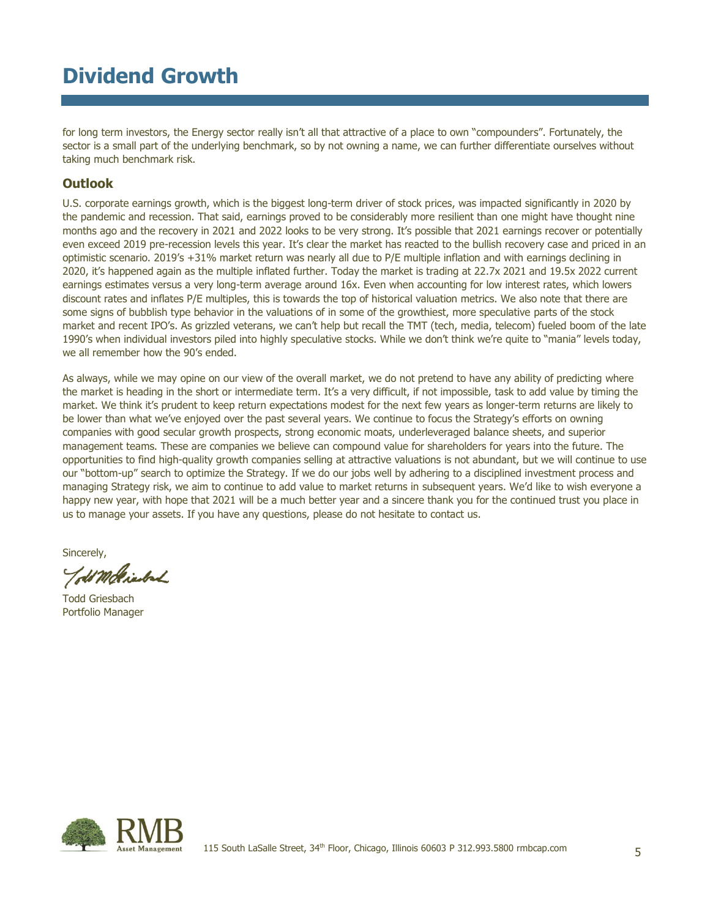for long term investors, the Energy sector really isn't all that attractive of a place to own "compounders". Fortunately, the sector is a small part of the underlying benchmark, so by not owning a name, we can further differentiate ourselves without taking much benchmark risk.

## **Outlook**

U.S. corporate earnings growth, which is the biggest long-term driver of stock prices, was impacted significantly in 2020 by the pandemic and recession. That said, earnings proved to be considerably more resilient than one might have thought nine months ago and the recovery in 2021 and 2022 looks to be very strong. It's possible that 2021 earnings recover or potentially even exceed 2019 pre-recession levels this year. It's clear the market has reacted to the bullish recovery case and priced in an optimistic scenario. 2019's +31% market return was nearly all due to P/E multiple inflation and with earnings declining in 2020, it's happened again as the multiple inflated further. Today the market is trading at 22.7x 2021 and 19.5x 2022 current earnings estimates versus a very long-term average around 16x. Even when accounting for low interest rates, which lowers discount rates and inflates P/E multiples, this is towards the top of historical valuation metrics. We also note that there are some signs of bubblish type behavior in the valuations of in some of the growthiest, more speculative parts of the stock market and recent IPO's. As grizzled veterans, we can't help but recall the TMT (tech, media, telecom) fueled boom of the late 1990's when individual investors piled into highly speculative stocks. While we don't think we're quite to "mania" levels today, we all remember how the 90's ended.

As always, while we may opine on our view of the overall market, we do not pretend to have any ability of predicting where the market is heading in the short or intermediate term. It's a very difficult, if not impossible, task to add value by timing the market. We think it's prudent to keep return expectations modest for the next few years as longer-term returns are likely to be lower than what we've enjoyed over the past several years. We continue to focus the Strategy's efforts on owning companies with good secular growth prospects, strong economic moats, underleveraged balance sheets, and superior management teams. These are companies we believe can compound value for shareholders for years into the future. The opportunities to find high-quality growth companies selling at attractive valuations is not abundant, but we will continue to use our "bottom-up" search to optimize the Strategy. If we do our jobs well by adhering to a disciplined investment process and managing Strategy risk, we aim to continue to add value to market returns in subsequent years. We'd like to wish everyone a happy new year, with hope that 2021 will be a much better year and a sincere thank you for the continued trust you place in us to manage your assets. If you have any questions, please do not hesitate to contact us.

Sincerely,

Told Mckinbal

Todd Griesbach Portfolio Manager

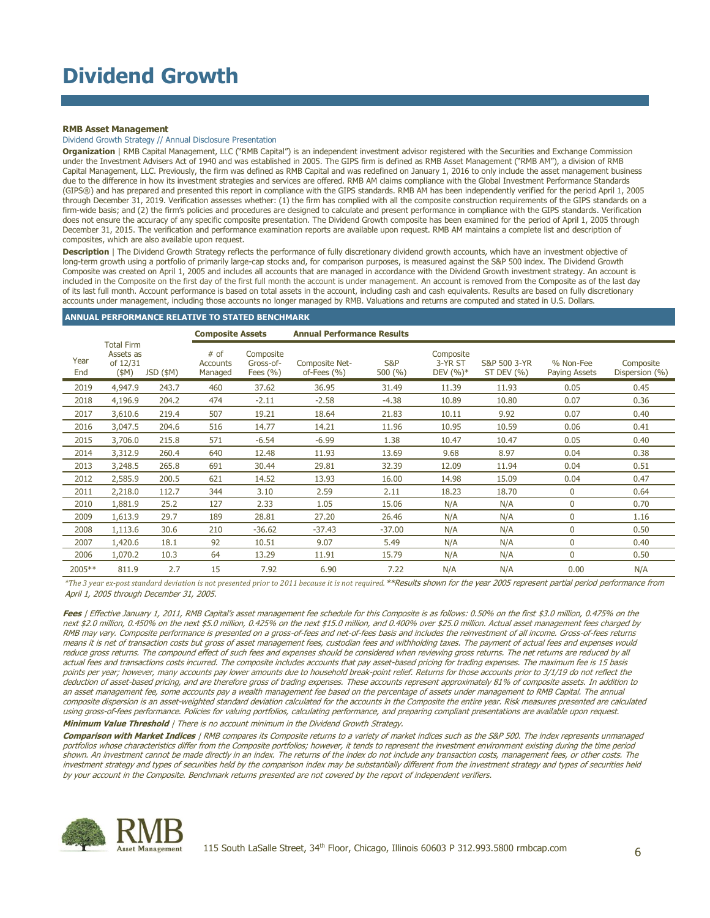#### **RMB Asset Management**

#### Dividend Growth Strategy // Annual Disclosure Presentation

**Organization** | RMB Capital Management, LLC ("RMB Capital") is an independent investment advisor registered with the Securities and Exchange Commission under the Investment Advisers Act of 1940 and was established in 2005. The GIPS firm is defined as RMB Asset Management ("RMB AM"), a division of RMB Capital Management, LLC. Previously, the firm was defined as RMB Capital and was redefined on January 1, 2016 to only include the asset management business due to the difference in how its investment strategies and services are offered. RMB AM claims compliance with the Global Investment Performance Standards (GIPS®) and has prepared and presented this report in compliance with the GIPS standards. RMB AM has been independently verified for the period April 1, 2005 through December 31, 2019. Verification assesses whether: (1) the firm has complied with all the composite construction requirements of the GIPS standards on a firm-wide basis; and (2) the firm's policies and procedures are designed to calculate and present performance in compliance with the GIPS standards. Verification does not ensure the accuracy of any specific composite presentation. The Dividend Growth composite has been examined for the period of April 1, 2005 through December 31, 2015. The verification and performance examination reports are available upon request. RMB AM maintains a complete list and description of composites, which are also available upon request.

**Description** | The Dividend Growth Strategy reflects the performance of fully discretionary dividend growth accounts, which have an investment objective of long-term growth using a portfolio of primarily large-cap stocks and, for comparison purposes, is measured against the S&P 500 index. The Dividend Growth Composite was created on April 1, 2005 and includes all accounts that are managed in accordance with the Dividend Growth investment strategy. An account is included in the Composite on the first day of the first full month the account is under management. An account is removed from the Composite as of the last day of its last full month. Account performance is based on total assets in the account, including cash and cash equivalents. Results are based on fully discretionary accounts under management, including those accounts no longer managed by RMB. Valuations and returns are computed and stated in U.S. Dollars.

#### **ANNUAL PERFORMANCE RELATIVE TO STATED BENCHMARK**

|             |                                                       | <b>Composite Assets</b> |                                      | <b>Annual Performance Results</b>      |                                  |               |                                     |                                |                            |                             |
|-------------|-------------------------------------------------------|-------------------------|--------------------------------------|----------------------------------------|----------------------------------|---------------|-------------------------------------|--------------------------------|----------------------------|-----------------------------|
| Year<br>End | <b>Total Firm</b><br>Assets as<br>of 12/31<br>$(\$M)$ | JSD (\$M)               | $#$ of<br><b>Accounts</b><br>Managed | Composite<br>Gross-of-<br>Fees $(\% )$ | Composite Net-<br>of-Fees $(% )$ | S&P<br>500(%) | Composite<br>3-YR ST<br>DEV $(%)^*$ | S&P 500 3-YR<br>ST DEV $(\% )$ | % Non-Fee<br>Paying Assets | Composite<br>Dispersion (%) |
| 2019        | 4,947.9                                               | 243.7                   | 460                                  | 37.62                                  | 36.95                            | 31.49         | 11.39                               | 11.93                          | 0.05                       | 0.45                        |
| 2018        | 4,196.9                                               | 204.2                   | 474                                  | $-2.11$                                | $-2.58$                          | $-4.38$       | 10.89                               | 10.80                          | 0.07                       | 0.36                        |
| 2017        | 3,610.6                                               | 219.4                   | 507                                  | 19.21                                  | 18.64                            | 21.83         | 10.11                               | 9.92                           | 0.07                       | 0.40                        |
| 2016        | 3,047.5                                               | 204.6                   | 516                                  | 14.77                                  | 14.21                            | 11.96         | 10.95                               | 10.59                          | 0.06                       | 0.41                        |
| 2015        | 3,706.0                                               | 215.8                   | 571                                  | $-6.54$                                | $-6.99$                          | 1.38          | 10.47                               | 10.47                          | 0.05                       | 0.40                        |
| 2014        | 3,312.9                                               | 260.4                   | 640                                  | 12.48                                  | 11.93                            | 13.69         | 9.68                                | 8.97                           | 0.04                       | 0.38                        |
| 2013        | 3,248.5                                               | 265.8                   | 691                                  | 30.44                                  | 29.81                            | 32.39         | 12.09                               | 11.94                          | 0.04                       | 0.51                        |
| 2012        | 2,585.9                                               | 200.5                   | 621                                  | 14.52                                  | 13.93                            | 16.00         | 14.98                               | 15.09                          | 0.04                       | 0.47                        |
| 2011        | 2,218.0                                               | 112.7                   | 344                                  | 3.10                                   | 2.59                             | 2.11          | 18.23                               | 18.70                          | 0                          | 0.64                        |
| 2010        | 1,881.9                                               | 25.2                    | 127                                  | 2.33                                   | 1.05                             | 15.06         | N/A                                 | N/A                            | 0                          | 0.70                        |
| 2009        | 1,613.9                                               | 29.7                    | 189                                  | 28.81                                  | 27.20                            | 26.46         | N/A                                 | N/A                            | 0                          | 1.16                        |
| 2008        | 1,113.6                                               | 30.6                    | 210                                  | $-36.62$                               | $-37.43$                         | $-37.00$      | N/A                                 | N/A                            | 0                          | 0.50                        |
| 2007        | 1,420.6                                               | 18.1                    | 92                                   | 10.51                                  | 9.07                             | 5.49          | N/A                                 | N/A                            | 0                          | 0.40                        |
| 2006        | 1,070.2                                               | 10.3                    | 64                                   | 13.29                                  | 11.91                            | 15.79         | N/A                                 | N/A                            | 0                          | 0.50                        |
| 2005**      | 811.9                                                 | 2.7                     | 15                                   | 7.92                                   | 6.90                             | 7.22          | N/A                                 | N/A                            | 0.00                       | N/A                         |

*\*The 3 year ex-post standard deviation is not presented prior to 2011 because it is not required.*\*\*Results shown for the year 2005 represent partial period performance from April 1, 2005 through December 31, 2005.

Fees | Effective January 1, 2011, RMB Capital's asset management fee schedule for this Composite is as follows: 0.50% on the first \$3.0 million, 0.475% on the next \$2.0 million, 0.450% on the next \$5.0 million, 0.425% on the next \$15.0 million, and 0.400% over \$25.0 million. Actual asset management fees charged by RMB may vary. Composite performance is presented on a gross-of-fees and net-of-fees basis and includes the reinvestment of all income. Gross-of-fees returns means it is net of transaction costs but gross of asset management fees, custodian fees and withholding taxes. The payment of actual fees and expenses would reduce gross returns. The compound effect of such fees and expenses should be considered when reviewing gross returns. The net returns are reduced by all actual fees and transactions costs incurred. The composite includes accounts that pay asset-based pricing for trading expenses. The maximum fee is 15 basis points per year; however, many accounts pay lower amounts due to household break-point relief. Returns for those accounts prior to 3/1/19 do not reflect the deduction of asset-based pricing, and are therefore gross of trading expenses. These accounts represent approximately 81% of composite assets. In addition to an asset management fee, some accounts pay a wealth management fee based on the percentage of assets under management to RMB Capital. The annual composite dispersion is an asset-weighted standard deviation calculated for the accounts in the Composite the entire year. Risk measures presented are calculated using gross-of-fees performance. Policies for valuing portfolios, calculating performance, and preparing compliant presentations are available upon request.

**Minimum Value Threshold** | There is no account minimum in the Dividend Growth Strategy.

**Comparison with Market Indices** | RMB compares its Composite returns to a variety of market indices such as the S&P 500. The index represents unmanaged portfolios whose characteristics differ from the Composite portfolios; however, it tends to represent the investment environment existing during the time period shown. An investment cannot be made directly in an index. The returns of the index do not include any transaction costs, management fees, or other costs. The investment strategy and types of securities held by the comparison index may be substantially different from the investment strategy and types of securities held by your account in the Composite. Benchmark returns presented are not covered by the report of independent verifiers.